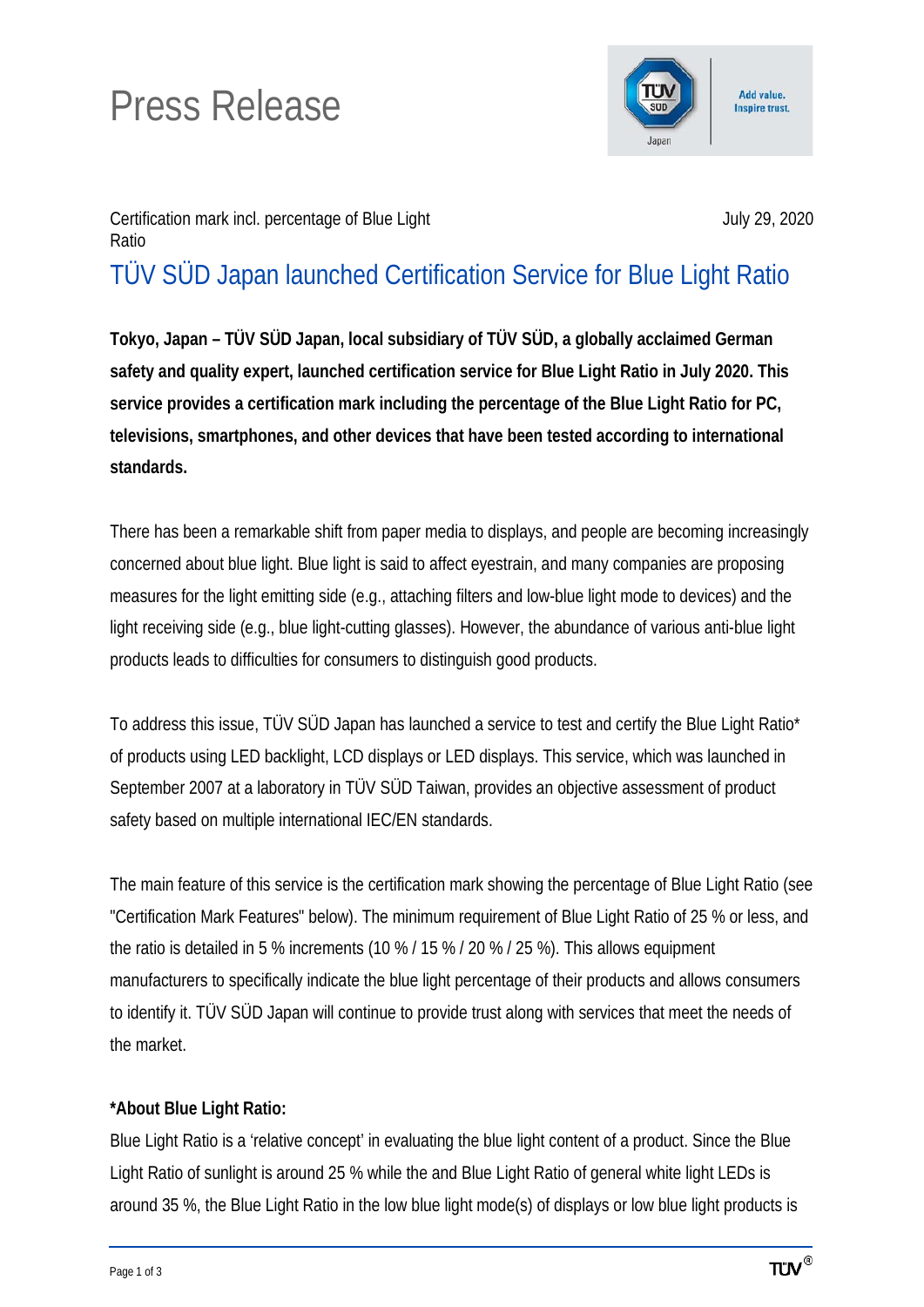# Press Release



### Certification mark incl. percentage of Blue Light Ratio

July 29, 2020

## TÜV SÜD Japan launched Certification Service for Blue Light Ratio

**Tokyo, Japan – TÜV SÜD Japan, local subsidiary of TÜV SÜD, a globally acclaimed German safety and quality expert, launched certification service for Blue Light Ratio in July 2020. This service provides a certification mark including the percentage of the Blue Light Ratio for PC, televisions, smartphones, and other devices that have been tested according to international standards.**

There has been a remarkable shift from paper media to displays, and people are becoming increasingly concerned about blue light. Blue light is said to affect eyestrain, and many companies are proposing measures for the light emitting side (e.g., attaching filters and low-blue light mode to devices) and the light receiving side (e.g., blue light-cutting glasses). However, the abundance of various anti-blue light products leads to difficulties for consumers to distinguish good products.

To address this issue, TÜV SÜD Japan has launched a service to test and certify the Blue Light Ratio\* of products using LED backlight, LCD displays or LED displays. This service, which was launched in September 2007 at a laboratory in TÜV SÜD Taiwan, provides an objective assessment of product safety based on multiple international IEC/EN standards.

The main feature of this service is the certification mark showing the percentage of Blue Light Ratio (see "Certification Mark Features" below). The minimum requirement of Blue Light Ratio of 25 % or less, and the ratio is detailed in 5 % increments (10 % / 15 % / 20 % / 25 %). This allows equipment manufacturers to specifically indicate the blue light percentage of their products and allows consumers to identify it. TÜV SÜD Japan will continue to provide trust along with services that meet the needs of the market.

### **\*About Blue Light Ratio:**

Blue Light Ratio is a 'relative concept' in evaluating the blue light content of a product. Since the Blue Light Ratio of sunlight is around 25 % while the and Blue Light Ratio of general white light LEDs is around 35 %, the Blue Light Ratio in the low blue light mode(s) of displays or low blue light products is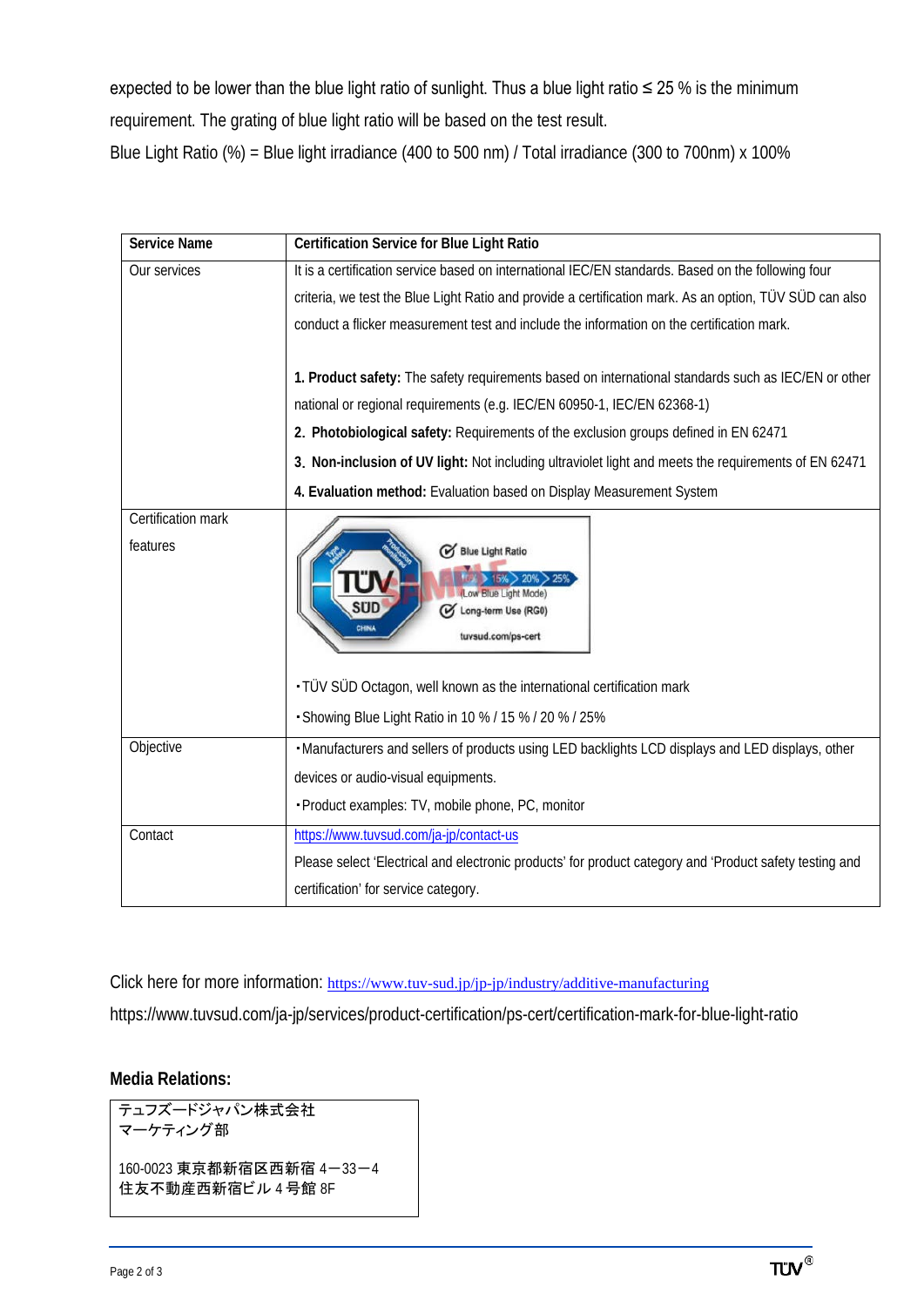expected to be lower than the blue light ratio of sunlight. Thus a blue light ratio ≤ 25 % is the minimum requirement. The grating of blue light ratio will be based on the test result. Blue Light Ratio (%) = Blue light irradiance (400 to 500 nm) / Total irradiance (300 to 700nm) x 100%

| <b>Service Name</b>            | <b>Certification Service for Blue Light Ratio</b>                                                                                                                                                                                  |
|--------------------------------|------------------------------------------------------------------------------------------------------------------------------------------------------------------------------------------------------------------------------------|
| Our services                   | It is a certification service based on international IEC/EN standards. Based on the following four                                                                                                                                 |
|                                | criteria, we test the Blue Light Ratio and provide a certification mark. As an option, TÜV SÜD can also                                                                                                                            |
|                                | conduct a flicker measurement test and include the information on the certification mark.                                                                                                                                          |
|                                |                                                                                                                                                                                                                                    |
|                                | 1. Product safety: The safety requirements based on international standards such as IEC/EN or other                                                                                                                                |
|                                | national or regional requirements (e.g. IEC/EN 60950-1, IEC/EN 62368-1)                                                                                                                                                            |
|                                | 2. Photobiological safety: Requirements of the exclusion groups defined in EN 62471                                                                                                                                                |
|                                | 3. Non-inclusion of UV light: Not including ultraviolet light and meets the requirements of EN 62471                                                                                                                               |
|                                | 4. Evaluation method: Evaluation based on Display Measurement System                                                                                                                                                               |
| Certification mark<br>features | <b>Blue Light Ratio</b><br><b>Blue Light Mode)</b><br>Long-term Use (RG0)<br>tuvsud.com/ps-cert<br>. TÜV SÜD Octagon, well known as the international certification mark<br>- Showing Blue Light Ratio in 10 % / 15 % / 20 % / 25% |
| Objective                      | •Manufacturers and sellers of products using LED backlights LCD displays and LED displays, other<br>devices or audio-visual equipments.<br>• Product examples: TV, mobile phone, PC, monitor                                       |
| Contact                        | https://www.tuvsud.com/ja-jp/contact-us<br>Please select 'Electrical and electronic products' for product category and 'Product safety testing and<br>certification' for service category.                                         |

Click here for more information: <https://www.tuv-sud.jp/jp-jp/industry/additive-manufacturing>

<https://www.tuvsud.com/ja-jp/services/product-certification/ps-cert/certification-mark-for-blue-light-ratio>

#### **Media Relations:**

```
テュフズードジャパン株式会社
マーケティング部
160-0023 東京都新宿区西新宿 4-33-4
住友不動産西新宿ビル 4 号館 8F
```